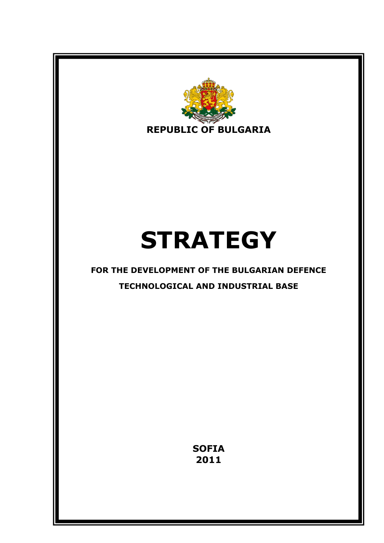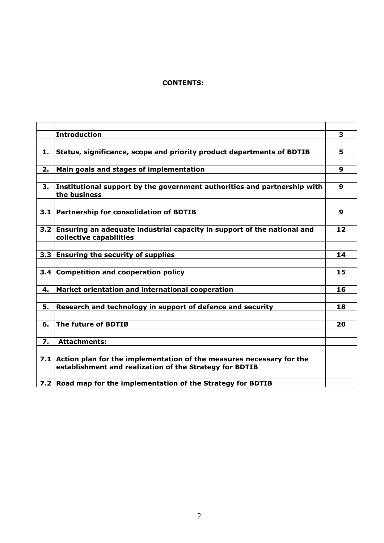# **CONTENTS:**

|               | <b>Introduction</b>                                                                                                             | 3  |
|---------------|---------------------------------------------------------------------------------------------------------------------------------|----|
|               |                                                                                                                                 |    |
| 1.            | Status, significance, scope and priority product departments of BDTIB                                                           | 5  |
|               |                                                                                                                                 |    |
| 2.            | Main goals and stages of implementation                                                                                         | 9  |
|               |                                                                                                                                 |    |
| 3.            | Institutional support by the government authorities and partnership with<br>the business                                        | 9  |
|               |                                                                                                                                 |    |
|               | 3.1 Partnership for consolidation of BDTIB                                                                                      | 9  |
|               |                                                                                                                                 |    |
|               | 3.2 Ensuring an adequate industrial capacity in support of the national and<br>collective capabilities                          | 12 |
|               |                                                                                                                                 |    |
|               | 3.3 Ensuring the security of supplies                                                                                           | 14 |
|               |                                                                                                                                 |    |
| $3.4^{\circ}$ | <b>Competition and cooperation policy</b>                                                                                       | 15 |
|               |                                                                                                                                 |    |
| 4.            | Market orientation and international cooperation                                                                                | 16 |
|               |                                                                                                                                 |    |
| 5.            | Research and technology in support of defence and security                                                                      | 18 |
|               |                                                                                                                                 |    |
| 6.            | The future of BDTIB                                                                                                             | 20 |
|               |                                                                                                                                 |    |
| 7.            | <b>Attachments:</b>                                                                                                             |    |
|               |                                                                                                                                 |    |
| 7.1           | Action plan for the implementation of the measures necessary for the<br>establishment and realization of the Strategy for BDTIB |    |
|               |                                                                                                                                 |    |
|               | 7.2 Road map for the implementation of the Strategy for BDTIB                                                                   |    |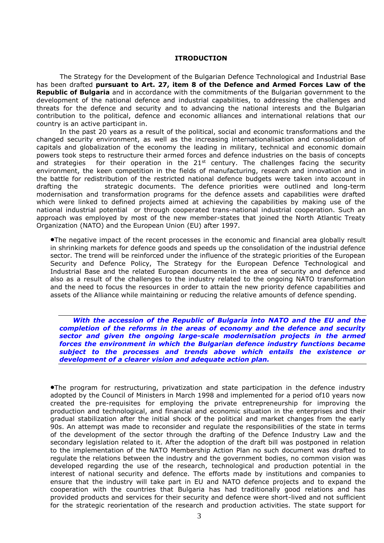#### **ITRODUCTION**

The Strategy for the Development of the Bulgarian Defence Technological and Industrial Base has been drafted **pursuant to Art. 27, item 8 of the Defence and Armed Forces Law of the Republic of Bulgaria** and in accordance with the commitments of the Bulgarian government to the development of the national defence and industrial capabilities, to addressing the challenges and threats for the defence and security and to advancing the national interests and the Bulgarian contribution to the political, defence and economic alliances and international relations that our country is an active participant in.

In the past 20 years as a result of the political, social and economic transformations and the changed security environment, as well as the increasing internationalisation and consolidation of capitals and globalization of the economy the leading in military, technical and economic domain powers took steps to restructure their armed forces and defence industries on the basis of concepts and strategies for their operation in the  $21^{st}$  century. The challenges facing the security environment, the keen competition in the fields of manufacturing, research and innovation and in the battle for redistribution of the restricted national defence budgets were taken into account in drafting the strategic documents. The defence priorities were outlined and long-term modernisation and transformation programs for the defence assets and capabilities were drafted which were linked to defined projects aimed at achieving the capabilities by making use of the national industrial potential or through cooperated trans-national industrial cooperation. Such an approach was employed by most of the new member-states that joined the North Atlantic Treaty Organization (NATO) and the European Union (EU) after 1997.

•The negative impact of the recent processes in the economic and financial area globally result in shrinking markets for defence goods and speeds up the consolidation of the industrial defence sector. The trend will be reinforced under the influence of the strategic priorities of the European Security and Defence Policy, The Strategy for the European Defence Technological and Industrial Base and the related European documents in the area of security and defence and also as a result of the challenges to the industry related to the ongoing NATO transformation and the need to focus the resources in order to attain the new priority defence capabilities and assets of the Alliance while maintaining or reducing the relative amounts of defence spending.

 *With the accession of the Republic of Bulgaria into NATO and the EU and the completion of the reforms in the areas of economy and the defence and security sector and given the ongoing large-scale modernisation projects in the armed forces the environment in which the Bulgarian defence industry functions became subject to the processes and trends above which entails the existence or development of a clearer vision and adequate action plan.* 

•The program for restructuring, privatization and state participation in the defence industry adopted by the Council of Ministers in March 1998 and implemented for a period of10 years now created the pre-requisites for employing the private entrepreneurship for improving the production and technological, and financial and economic situation in the enterprises and their gradual stabilization after the initial shock of the political and market changes from the early 90s. An attempt was made to reconsider and regulate the responsibilities of the state in terms of the development of the sector through the drafting of the Defence Industry Law and the secondary legislation related to it. After the adoption of the draft bill was postponed in relation to the implementation of the NATO Membership Action Plan no such document was drafted to regulate the relations between the industry and the government bodies, no common vision was developed regarding the use of the research, technological and production potential in the interest of national security and defence. The efforts made by institutions and companies to ensure that the industry will take part in EU and NATO defence projects and to expand the cooperation with the countries that Bulgaria has had traditionally good relations and has provided products and services for their security and defence were short-lived and not sufficient for the strategic reorientation of the research and production activities. The state support for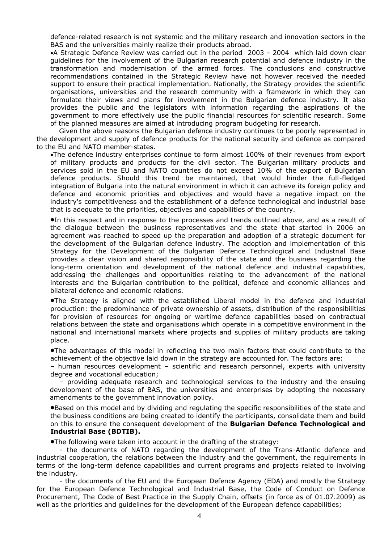defence-related research is not systemic and the military research and innovation sectors in the BAS and the universities mainly realize their products abroad.

•A Strategic Defence Review was carried out in the period 2003 - 2004 which laid down clear guidelines for the involvement of the Bulgarian research potential and defence industry in the transformation and modernisation of the armed forces. The conclusions and constructive recommendations contained in the Strategic Review have not however received the needed support to ensure their practical implementation. Nationally, the Strategy provides the scientific organisations, universities and the research community with a framework in which they can formulate their views and plans for involvement in the Bulgarian defence industry. It also provides the public and the legislators with information regarding the aspirations of the government to more effectively use the public financial resources for scientific research. Some of the planned measures are aimed at introducing program budgeting for research.

Given the above reasons the Bulgarian defence industry continues to be poorly represented in the development and supply of defence products for the national security and defence as compared to the EU and NATO member-states.

•The defence industry enterprises continue to form almost 100% of their revenues from export of military products and products for the civil sector. The Bulgarian military products and services sold in the EU and NATO countries do not exceed 10% of the export of Bulgarian defence products. Should this trend be maintained, that would hinder the full-fledged integration of Bulgaria into the natural environment in which it can achieve its foreign policy and defence and economic priorities and objectives and would have a negative impact on the industry's competitiveness and the establishment of a defence technological and industrial base that is adequate to the priorities, objectives and capabilities of the country.

•In this respect and in response to the processes and trends outlined above, and as a result of the dialogue between the business representatives and the state that started in 2006 an agreement was reached to speed up the preparation and adoption of a strategic document for the development of the Bulgarian defence industry. The adoption and implementation of this Strategy for the Development of the Bulgarian Defence Technological and Industrial Base provides a clear vision and shared responsibility of the state and the business regarding the long-term orientation and development of the national defence and industrial capabilities, addressing the challenges and opportunities relating to the advancement of the national interests and the Bulgarian contribution to the political, defence and economic alliances and bilateral defence and economic relations.

•The Strategy is aligned with the established Liberal model in the defence and industrial production: the predominance of private ownership of assets, distribution of the responsibilities for provision of resources for ongoing or wartime defence capabilities based on contractual relations between the state and organisations which operate in a competitive environment in the national and international markets where projects and supplies of military products are taking place.

•The advantages of this model in reflecting the two main factors that could contribute to the achievement of the objective laid down in the strategy are accounted for. The factors are:

– human resources development – scientific and research personnel, experts with university degree and vocational education;

– providing adequate research and technological services to the industry and the ensuing development of the base of BAS, the universities and enterprises by adopting the necessary amendments to the government innovation policy.

•Based on this model and by dividing and regulating the specific responsibilities of the state and the business conditions are being created to identify the participants, consolidate them and build on this to ensure the consequent development of the **Bulgarian Defence Technological and Industrial Base (BDTIB).**

•The following were taken into account in the drafting of the strategy:

- the documents of NATO regarding the development of the Trans-Atlantic defence and industrial cooperation, the relations between the industry and the government, the requirements in terms of the long-term defence capabilities and current programs and projects related to involving the industry.

- the documents of the EU and the European Defence Agency (EDA) and mostly the Strategy for the European Defence Technological and Industrial Base, the Code of Conduct on Defence Procurement, The Code of Best Practice in the Supply Chain, offsets (in force as of 01.07.2009) as well as the priorities and guidelines for the development of the European defence capabilities;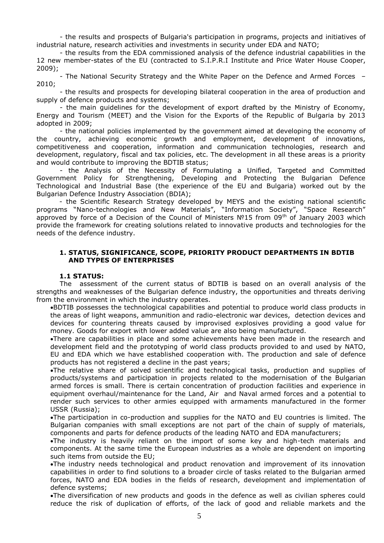- the results and prospects of Bulgaria's participation in programs, projects and initiatives of industrial nature, research activities and investments in security under EDA and NATO;

- the results from the EDA commissioned analysis of the defence industrial capabilities in the 12 new member-states of the EU (contracted to S.I.P.R.I Institute and Price Water House Cooper, 2009);

- The National Security Strategy and the White Paper on the Defence and Armed Forces – 2010;

- the results and prospects for developing bilateral cooperation in the area of production and supply of defence products and systems;

- the main guidelines for the development of export drafted by the Ministry of Economy, Energy and Tourism (MEET) and the Vision for the Exports of the Republic of Bulgaria by 2013 adopted in 2009;

- the national policies implemented by the government aimed at developing the economy of the country, achieving economic growth and employment, development of innovations, competitiveness and cooperation, information and communication technologies, research and development, regulatory, fiscal and tax policies, etc. The development in all these areas is a priority and would contribute to improving the BDTIB status;

- the Analysis of the Necessity of Formulating a Unified, Targeted and Committed Government Policy for Strengthening, Developing and Protecting the Bulgarian Defence Technological and Industrial Base (the experience of the EU and Bulgaria) worked out by the Bulgarian Defence Industry Association (BDIA);

- the Scientific Research Strategy developed by MEYS and the existing national scientific programs "Nano-technologies and New Materials", "Information Society", "Space Research" approved by force of a Decision of the Council of Ministers №15 from 09th of January 2003 which provide the framework for creating solutions related to innovative products and technologies for the needs of the defence industry.

## **1. STATUS, SIGNIFICANCE, SCOPE, PRIORITY PRODUCT DEPARTMENTS IN BDTIB AND TYPES OF ENTERPRISES**

### **1.1 STATUS:**

The assessment of the current status of BDTIB is based on an overall analysis of the strengths and weaknesses of the Bulgarian defence industry, the opportunities and threats deriving from the environment in which the industry operates.

•BDTIB possesses the technological capabilities and potential to produce world class products in the areas of light weapons, ammunition and radio-electronic war devices, detection devices and devices for countering threats caused by improvised explosives providing a good value for money. Goods for export with lower added value are also being manufactured.

•There are capabilities in place and some achievements have been made in the research and development field and the prototyping of world class products provided to and used by NATO, EU and EDA which we have established cooperation with. The production and sale of defence products has not registered a decline in the past years;

•The relative share of solved scientific and technological tasks, production and supplies of products/systems and participation in projects related to the modernisation of the Bulgarian armed forces is small. There is certain concentration of production facilities and experience in equipment overhaul/maintenance for the Land, Air and Naval armed forces and a potential to render such services to other armies equipped with armaments manufactured in the former USSR (Russia);

•The participation in co-production and supplies for the NATO and EU countries is limited. The Bulgarian companies with small exceptions are not part of the chain of supply of materials, components and parts for defence products of the leading NATO and EDA manufacturers;

•The industry is heavily reliant on the import of some key and high-tech materials and components. At the same time the European industries as a whole are dependent on importing such items from outside the EU;

•The industry needs technological and product renovation and improvement of its innovation capabilities in order to find solutions to a broader circle of tasks related to the Bulgarian armed forces, NATO and EDA bodies in the fields of research, development and implementation of defence systems;

•The diversification of new products and goods in the defence as well as civilian spheres could reduce the risk of duplication of efforts, of the lack of good and reliable markets and the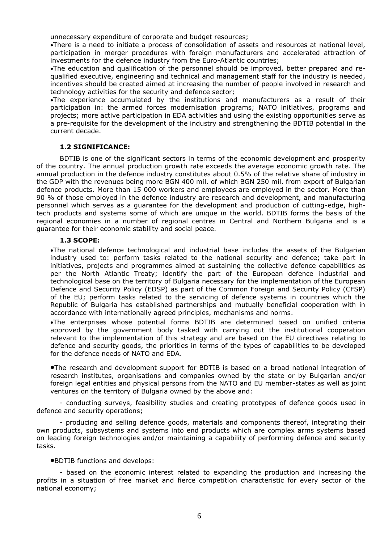unnecessary expenditure of corporate and budget resources;

•There is a need to initiate a process of consolidation of assets and resources at national level, participation in merger procedures with foreign manufacturers and accelerated attraction of investments for the defence industry from the Euro-Atlantic countries;

•The education and qualification of the personnel should be improved, better prepared and requalified executive, engineering and technical and management staff for the industry is needed, incentives should be created aimed at increasing the number of people involved in research and technology activities for the security and defence sector;

•The experience accumulated by the institutions and manufacturers as a result of their participation in: the armed forces modernisation programs; NATO initiatives, programs and projects; more active participation in EDA activities and using the existing opportunities serve as a pre-requisite for the development of the industry and strengthening the BDTIB potential in the current decade.

### **1.2 SIGNIFICANCE:**

BDTIB is one of the significant sectors in terms of the economic development and prosperity of the country. The annual production growth rate exceeds the average economic growth rate. The annual production in the defence industry constitutes about 0.5% of the relative share of industry in the GDP with the revenues being more BGN 400 mil. of which BGN 250 mil. from export of Bulgarian defence products. More than 15 000 workers and employees are employed in the sector. More than 90 % of those employed in the defence industry are research and development, and manufacturing personnel which serves as a guarantee for the development and production of cutting-edge, hightech products and systems some of which are unique in the world. BDTIB forms the basis of the regional economies in a number of regional centres in Central and Northern Bulgaria and is a guarantee for their economic stability and social peace.

# **1.3 SCOPE:**

•The national defence technological and industrial base includes the assets of the Bulgarian industry used to: perform tasks related to the national security and defence; take part in initiatives, projects and programmes aimed at sustaining the collective defence capabilities as per the North Atlantic Treaty; identify the part of the European defence industrial and technological base on the territory of Bulgaria necessary for the implementation of the European Defence and Security Policy (EDSP) as part of the Common Foreign and Security Policy (CFSP) of the EU; perform tasks related to the servicing of defence systems in countries which the Republic of Bulgaria has established partnerships and mutually beneficial cooperation with in accordance with internationally agreed principles, mechanisms and norms.

•The enterprises whose potential forms BDTIB are determined based on unified criteria approved by the government body tasked with carrying out the institutional cooperation relevant to the implementation of this strategy and are based on the EU directives relating to defence and security goods, the priorities in terms of the types of capabilities to be developed for the defence needs of NATO and EDA.

•The research and development support for BDTIB is based on a broad national integration of research institutes, organisations and companies owned by the state or by Bulgarian and/or foreign legal entities and physical persons from the NATO and EU member-states as well as joint ventures on the territory of Bulgaria owned by the above and:

- conducting surveys, feasibility studies and creating prototypes of defence goods used in defence and security operations;

- producing and selling defence goods, materials and components thereof, integrating their own products, subsystems and systems into end products which are complex arms systems based on leading foreign technologies and/or maintaining a capability of performing defence and security tasks.

### •BDTIB functions and develops:

- based on the economic interest related to expanding the production and increasing the profits in a situation of free market and fierce competition characteristic for every sector of the national economy;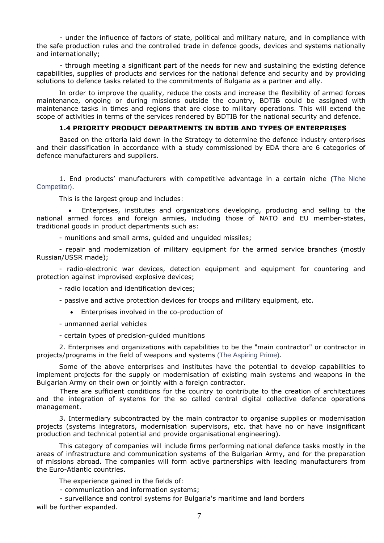- under the influence of factors of state, political and military nature, and in compliance with the safe production rules and the controlled trade in defence goods, devices and systems nationally and internationally;

- through meeting a significant part of the needs for new and sustaining the existing defence capabilities, supplies of products and services for the national defence and security and by providing solutions to defence tasks related to the commitments of Bulgaria as a partner and ally.

In order to improve the quality, reduce the costs and increase the flexibility of armed forces maintenance, ongoing or during missions outside the country, BDTIB could be assigned with maintenance tasks in times and regions that are close to military operations. This will extend the scope of activities in terms of the services rendered by BDTIB for the national security and defence.

## **1.4 PRIORITY PRODUCT DEPARTMENTS IN BDTIB AND TYPES OF ENTERPRISES**

Based on the criteria laid down in the Strategy to determine the defence industry enterprises and their classification in accordance with a study commissioned by EDA there are 6 categories of defence manufacturers and suppliers.

1. End products' manufacturers with competitive advantage in a certain niche (The Niche Competitor).

This is the largest group and includes:

• Enterprises, institutes and organizations developing, producing and selling to the national armed forces and foreign armies, including those of NATO and EU member-states, traditional goods in product departments such as:

- munitions and small arms, guided and unguided missiles;

- repair and modernization of military equipment for the armed service branches (mostly Russian/USSR made);

- radio-electronic war devices, detection equipment and equipment for countering and protection against improvised explosive devices;

- radio location and identification devices;

- passive and active protection devices for troops and military equipment, etc.

• Enterprises involved in the co-production of

- unmanned aerial vehicles

- certain types of precision-guided munitions

2. Enterprises and organizations with capabilities to be the "main contractor" or contractor in projects/programs in the field of weapons and systems (The Aspiring Prime).

Some of the above enterprises and institutes have the potential to develop capabilities to implement projects for the supply or modernisation of existing main systems and weapons in the Bulgarian Army on their own or jointly with a foreign contractor.

There are sufficient conditions for the country to contribute to the creation of architectures and the integration of systems for the so called central digital collective defence operations management.

3. Intermediary subcontracted by the main contractor to organise supplies or modernisation projects (systems integrators, modernisation supervisors, etc. that have no or have insignificant production and technical potential and provide organisational engineering).

This category of companies will include firms performing national defence tasks mostly in the areas of infrastructure and communication systems of the Bulgarian Army, and for the preparation of missions abroad. The companies will form active partnerships with leading manufacturers from the Euro-Atlantic countries.

The experience gained in the fields of:

- communication and information systems;

- surveillance and control systems for Bulgaria's maritime and land borders will be further expanded.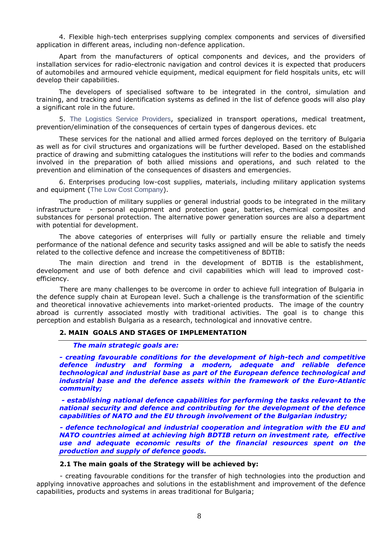4. Flexible high-tech enterprises supplying complex components and services of diversified application in different areas, including non-defence application.

Apart from the manufacturers of optical components and devices, and the providers of installation services for radio-electronic navigation and control devices it is expected that producers of automobiles and armoured vehicle equipment, medical equipment for field hospitals units, etc will develop their capabilities.

The developers of specialised software to be integrated in the control, simulation and training, and tracking and identification systems as defined in the list of defence goods will also play a significant role in the future.

5. The Logistics Service Providers, specialized in transport operations, medical treatment, prevention/elimination of the consequences of certain types of dangerous devices. etc

These services for the national and allied armed forces deployed on the territory of Bulgaria as well as for civil structures and organizations will be further developed. Based on the established practice of drawing and submitting catalogues the institutions will refer to the bodies and commands involved in the preparation of both allied missions and operations, and such related to the prevention and elimination of the consequences of disasters and emergencies.

6. Enterprises producing low-cost supplies, materials, including military application systems and equipment (The Low Cost Company).

The production of military supplies or general industrial goods to be integrated in the military infrastructure - personal equipment and protection gear, batteries, chemical composites and substances for personal protection. The alternative power generation sources are also a department with potential for development.

The above categories of enterprises will fully or partially ensure the reliable and timely performance of the national defence and security tasks assigned and will be able to satisfy the needs related to the collective defence and increase the competitiveness of BDTIB:

The main direction and trend in the development of BDTIB is the establishment, development and use of both defence and civil capabilities which will lead to improved costefficiency.

There are many challenges to be overcome in order to achieve full integration of Bulgaria in the defence supply chain at European level. Such a challenge is the transformation of the scientific and theoretical innovative achievements into market-oriented products. The image of the country abroad is currently associated mostly with traditional activities. The goal is to change this perception and establish Bulgaria as a research, technological and innovative centre.

### **2. MAIN GOALS AND STAGES OF IMPLEMENTATION**

*The main strategic goals are:*

*- creating favourable conditions for the development of high-tech and competitive defence industry and forming a modern, adequate and reliable defence technological and industrial base as part of the European defence technological and industrial base and the defence assets within the framework of the Euro-Atlantic community;*

*- establishing national defence capabilities for performing the tasks relevant to the national security and defence and contributing for the development of the defence capabilities of NATO and the EU through involvement of the Bulgarian industry;*

*- defence technological and industrial cooperation and integration with the EU and NATO countries aimed at achieving high BDTIB return on investment rate, effective use and adequate economic results of the financial resources spent on the production and supply of defence goods.*

### **2.1 The main goals of the Strategy will be achieved by:**

- creating favourable conditions for the transfer of high technologies into the production and applying innovative approaches and solutions in the establishment and improvement of the defence capabilities, products and systems in areas traditional for Bulgaria;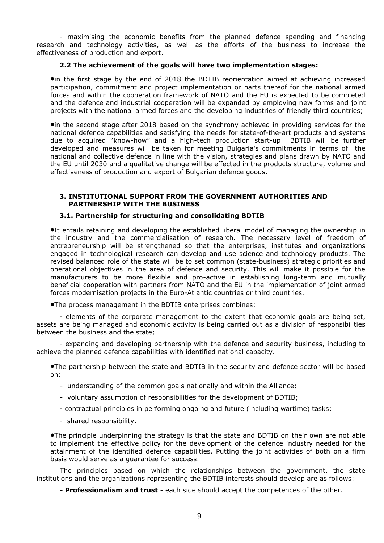- maximising the economic benefits from the planned defence spending and financing research and technology activities, as well as the efforts of the business to increase the effectiveness of production and export.

### **2.2 The achievement of the goals will have two implementation stages:**

•in the first stage by the end of 2018 the BDTIB reorientation aimed at achieving increased participation, commitment and project implementation or parts thereof for the national armed forces and within the cooperation framework of NATO and the EU is expected to be completed and the defence and industrial cooperation will be expanded by employing new forms and joint projects with the national armed forces and the developing industries of friendly third countries;

•in the second stage after 2018 based on the synchrony achieved in providing services for the national defence capabilities and satisfying the needs for state-of-the-art products and systems due to acquired "know-how" and a high-tech production start-up BDTIB will be further developed and measures will be taken for meeting Bulgaria's commitments in terms of the national and collective defence in line with the vision, strategies and plans drawn by NATO and the EU until 2030 and a qualitative change will be effected in the products structure, volume and effectiveness of production and export of Bulgarian defence goods.

#### **3. INSTITUTIONAL SUPPORT FROM THE GOVERNMENT AUTHORITIES AND PARTNERSHIP WITH THE BUSINESS**

### **3.1. Partnership for structuring and consolidating BDTIB**

•It entails retaining and developing the established liberal model of managing the ownership in the industry and the commercialisation of research. The necessary level of freedom of entrepreneurship will be strengthened so that the enterprises, institutes and organizations engaged in technological research can develop and use science and technology products. The revised balanced role of the state will be to set common (state-business) strategic priorities and operational objectives in the area of defence and security. This will make it possible for the manufacturers to be more flexible and pro-active in establishing long-term and mutually beneficial cooperation with partners from NATO and the EU in the implementation of joint armed forces modernisation projects in the Euro-Atlantic countries or third countries.

•The process management in the BDTIB enterprises combines:

- elements of the corporate management to the extent that economic goals are being set, assets are being managed and economic activity is being carried out as a division of responsibilities between the business and the state;

- expanding and developing partnership with the defence and security business, including to achieve the planned defence capabilities with identified national capacity.

•The partnership between the state and BDTIB in the security and defence sector will be based on:

- understanding of the common goals nationally and within the Alliance;
- voluntary assumption of responsibilities for the development of BDTIB;
- contractual principles in performing ongoing and future (including wartime) tasks;
- shared responsibility.

•The principle underpinning the strategy is that the state and BDTIB on their own are not able to implement the effective policy for the development of the defence industry needed for the attainment of the identified defence capabilities. Putting the joint activities of both on a firm basis would serve as a guarantee for success.

The principles based on which the relationships between the government, the state institutions and the organizations representing the BDTIB interests should develop are as follows:

**- Professionalism and trust** - each side should accept the competences of the other.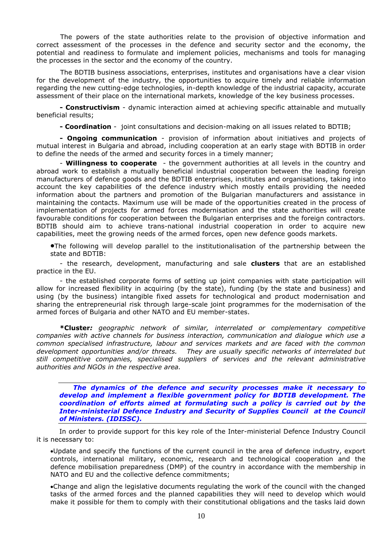The powers of the state authorities relate to the provision of objective information and correct assessment of the processes in the defence and security sector and the economy, the potential and readiness to formulate and implement policies, mechanisms and tools for managing the processes in the sector and the economy of the country.

The BDTIB business associations, enterprises, institutes and organisations have a clear vision for the development of the industry, the opportunities to acquire timely and reliable information regarding the new cutting-edge technologies, in-depth knowledge of the industrial capacity, accurate assessment of their place on the international markets, knowledge of the key business processes.

**- Constructivism** - dynamic interaction aimed at achieving specific attainable and mutually beneficial results;

**- Coordination** - joint consultations and decision-making on all issues related to BDTIB;

**- Ongoing communication** - provision of information about initiatives and projects of mutual interest in Bulgaria and abroad, including cooperation at an early stage with BDTIB in order to define the needs of the armed and security forces in a timely manner;

- **Willingness to cooperate** - the government authorities at all levels in the country and abroad work to establish a mutually beneficial industrial cooperation between the leading foreign manufacturers of defence goods and the BDTIB enterprises, institutes and organisations, taking into account the key capabilities of the defence industry which mostly entails providing the needed information about the partners and promotion of the Bulgarian manufacturers and assistance in maintaining the contacts. Maximum use will be made of the opportunities created in the process of implementation of projects for armed forces modernisation and the state authorities will create favourable conditions for cooperation between the Bulgarian enterprises and the foreign contractors. BDTIB should aim to achieve trans-national industrial cooperation in order to acquire new capabilities, meet the growing needs of the armed forces, open new defence goods markets.

•The following will develop parallel to the institutionalisation of the partnership between the state and BDTIB:

- the research, development, manufacturing and sale **clusters** that are an established practice in the EU.

- the established corporate forms of setting up joint companies with state participation will allow for increased flexibility in acquiring (by the state), funding (by the state and business) and using (by the business) intangible fixed assets for technological and product modernisation and sharing the entrepreneurial risk through large-scale joint programmes for the modernisation of the armed forces of Bulgaria and other NATO and EU member-states.

**\*Cluster***: geographic network of similar, interrelated or complementary competitive companies with active channels for business interaction, communication and dialogue which use a common specialised infrastructure, labour and services markets and are faced with the common development opportunities and/or threats. They are usually specific networks of interrelated but still competitive companies, specialised suppliers of services and the relevant administrative authorities and NGOs in the respective area.* 

*The dynamics of the defence and security processes make it necessary to develop and implement a flexible government policy for BDTIB development. The coordination of efforts aimed at formulating such a policy is carried out by the Inter-ministerial Defence Industry and Security of Supplies Council at the Council of Ministers. (IDISSC).*

In order to provide support for this key role of the Inter-ministerial Defence Industry Council it is necessary to:

•Update and specify the functions of the current council in the area of defence industry, export controls, international military, economic, research and technological cooperation and the defence mobilisation preparedness (DMP) of the country in accordance with the membership in NATO and EU and the collective defence commitments;

•Change and align the legislative documents regulating the work of the council with the changed tasks of the armed forces and the planned capabilities they will need to develop which would make it possible for them to comply with their constitutional obligations and the tasks laid down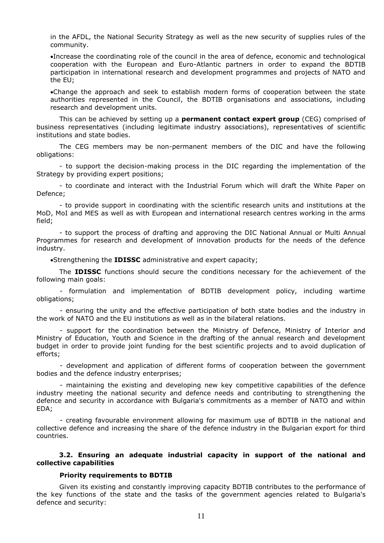in the AFDL, the National Security Strategy as well as the new security of supplies rules of the community.

•Increase the coordinating role of the council in the area of defence, economic and technological cooperation with the European and Euro-Atlantic partners in order to expand the BDTIB participation in international research and development programmes and projects of NATO and the EU;

•Change the approach and seek to establish modern forms of cooperation between the state authorities represented in the Council, the BDTIB organisations and associations, including research and development units.

This can be achieved by setting up a **permanent contact expert group** (CEG) comprised of business representatives (including legitimate industry associations), representatives of scientific institutions and state bodies.

The CEG members may be non-permanent members of the DIC and have the following obligations:

- to support the decision-making process in the DIC regarding the implementation of the Strategy by providing expert positions;

- to coordinate and interact with the Industrial Forum which will draft the White Paper on Defence;

- to provide support in coordinating with the scientific research units and institutions at the MoD, MoI and MES as well as with European and international research centres working in the arms field;

- to support the process of drafting and approving the DIC National Annual or Multi Annual Programmes for research and development of innovation products for the needs of the defence industry.

•Strengthening the **IDISSC** administrative and expert capacity;

The **IDISSC** functions should secure the conditions necessary for the achievement of the following main goals:

- formulation and implementation of BDTIB development policy, including wartime obligations;

- ensuring the unity and the effective participation of both state bodies and the industry in the work of NATO and the EU institutions as well as in the bilateral relations.

- support for the coordination between the Ministry of Defence, Ministry of Interior and Ministry of Education, Youth and Science in the drafting of the annual research and development budget in order to provide joint funding for the best scientific projects and to avoid duplication of efforts;

- development and application of different forms of cooperation between the government bodies and the defence industry enterprises;

- maintaining the existing and developing new key competitive capabilities of the defence industry meeting the national security and defence needs and contributing to strengthening the defence and security in accordance with Bulgaria's commitments as a member of NATO and within EDA;

- creating favourable environment allowing for maximum use of BDTIB in the national and collective defence and increasing the share of the defence industry in the Bulgarian export for third countries.

### **3.2. Ensuring an adequate industrial capacity in support of the national and collective capabilities**

### **Priority requirements to BDTIB**

Given its existing and constantly improving capacity BDTIB contributes to the performance of the key functions of the state and the tasks of the government agencies related to Bulgaria's defence and security: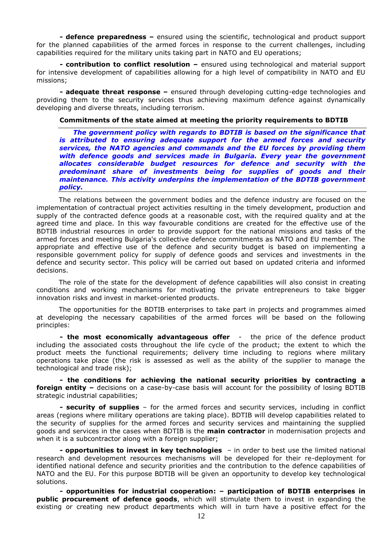**- defence preparedness –** ensured using the scientific, technological and product support for the planned capabilities of the armed forces in response to the current challenges, including capabilities required for the military units taking part in NATO and EU operations;

**- contribution to conflict resolution –** ensured using technological and material support for intensive development of capabilities allowing for a high level of compatibility in NATO and EU missions;

**- adequate threat response –** ensured through developing cutting-edge technologies and providing them to the security services thus achieving maximum defence against dynamically developing and diverse threats, including terrorism.

#### **Commitments of the state aimed at meeting the priority requirements to BDTIB**

*The government policy with regards to BDTIB is based on the significance that is attributed to ensuring adequate support for the armed forces and security services, the NATO agencies and commands and the EU forces by providing them with defence goods and services made in Bulgaria. Every year the government allocates considerable budget resources for defence and security with the predominant share of investments being for supplies of goods and their maintenance. This activity underpins the implementation of the BDTIB government policy.*

The relations between the government bodies and the defence industry are focused on the implementation of contractual project activities resulting in the timely development, production and supply of the contracted defence goods at a reasonable cost, with the required quality and at the agreed time and place. In this way favourable conditions are created for the effective use of the BDTIB industrial resources in order to provide support for the national missions and tasks of the armed forces and meeting Bulgaria's collective defence commitments as NATO and EU member. The appropriate and effective use of the defence and security budget is based on implementing a responsible government policy for supply of defence goods and services and investments in the defence and security sector. This policy will be carried out based on updated criteria and informed decisions.

The role of the state for the development of defence capabilities will also consist in creating conditions and working mechanisms for motivating the private entrepreneurs to take bigger innovation risks and invest in market-oriented products.

The opportunities for the BDTIB enterprises to take part in projects and programmes aimed at developing the necessary capabilities of the armed forces will be based on the following principles:

**- the most economically advantageous offer** - the price of the defence product including the associated costs throughout the life cycle of the product; the extent to which the product meets the functional requirements; delivery time including to regions where military operations take place (the risk is assessed as well as the ability of the supplier to manage the technological and trade risk);

 **- the conditions for achieving the national security priorities by contracting a foreign entity** – decisions on a case-by-case basis will account for the possibility of losing BDTIB strategic industrial capabilities;

**- security of supplies** – for the armed forces and security services, including in conflict areas (regions where military operations are taking place). BDTIB will develop capabilities related to the security of supplies for the armed forces and security services and maintaining the supplied goods and services in the cases when BDTIB is the **main contractor** in modernisation projects and when it is a subcontractor along with a foreign supplier;

**- opportunities to invest in key technologies** – in order to best use the limited national research and development resources mechanisms will be developed for their re-deployment for identified national defence and security priorities and the contribution to the defence capabilities of NATO and the EU. For this purpose BDTIB will be given an opportunity to develop key technological solutions.

**- opportunities for industrial cooperation: – participation of BDTIB enterprises in public procurement of defence goods**, which will stimulate them to invest in expanding the existing or creating new product departments which will in turn have a positive effect for the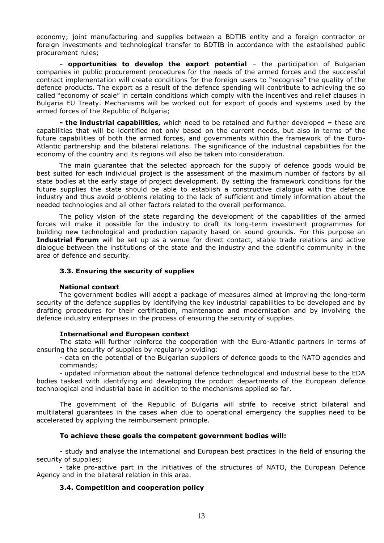economy; joint manufacturing and supplies between a BDTIB entity and a foreign contractor or foreign investments and technological transfer to BDTIB in accordance with the established public procurement rules;

**- opportunities to develop the export potential** – the participation of Bulgarian companies in public procurement procedures for the needs of the armed forces and the successful contract implementation will create conditions for the foreign users to "recognise" the quality of the defence products. The export as a result of the defence spending will contribute to achieving the so called "economy of scale" in certain conditions which comply with the incentives and relief clauses in Bulgaria EU Treaty. Mechanisms will be worked out for export of goods and systems used by the armed forces of the Republic of Bulgaria;

**- the industrial capabilities,** which need to be retained and further developed **–** these are capabilities that will be identified not only based on the current needs, but also in terms of the future capabilities of both the armed forces, and governments within the framework of the Euro-Atlantic partnership and the bilateral relations. The significance of the industrial capabilities for the economy of the country and its regions will also be taken into consideration.

The main guarantee that the selected approach for the supply of defence goods would be best suited for each individual project is the assessment of the maximum number of factors by all state bodies at the early stage of project development. By setting the framework conditions for the future supplies the state should be able to establish a constructive dialogue with the defence industry and thus avoid problems relating to the lack of sufficient and timely information about the needed technologies and all other factors related to the overall performance.

The policy vision of the state regarding the development of the capabilities of the armed forces will make it possible for the industry to draft its long-term investment programmes for building new technological and production capacity based on sound grounds. For this purpose an **Industrial Forum** will be set up as a venue for direct contact, stable trade relations and active dialogue between the institutions of the state and the industry and the scientific community in the area of defence and security.

#### **3.3. Ensuring the security of supplies**

#### **National context**

The government bodies will adopt a package of measures aimed at improving the long-term security of the defence supplies by identifying the key industrial capabilities to be developed and by drafting procedures for their certification, maintenance and modernisation and by involving the defence industry enterprises in the process of ensuring the security of supplies.

#### **International and European context**

The state will further reinforce the cooperation with the Euro-Atlantic partners in terms of ensuring the security of supplies by regularly providing:

- data on the potential of the Bulgarian suppliers of defence goods to the NATO agencies and commands;

- updated information about the national defence technological and industrial base to the EDA bodies tasked with identifying and developing the product departments of the European defence technological and industrial base in addition to the mechanisms applied so far.

The government of the Republic of Bulgaria will strife to receive strict bilateral and multilateral guarantees in the cases when due to operational emergency the supplies need to be accelerated by applying the reimbursement principle.

#### **To achieve these goals the competent government bodies will:**

- study and analyse the international and European best practices in the field of ensuring the security of supplies;

- take pro-active part in the initiatives of the structures of NATO, the European Defence Agency and in the bilateral relation in this area.

#### **3.4. Competition and cooperation policy**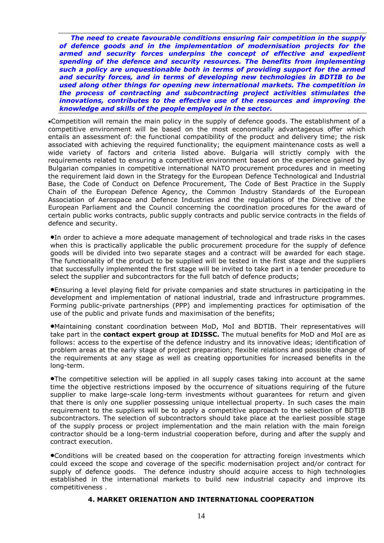*The need to create favourable conditions ensuring fair competition in the supply of defence goods and in the implementation of modernisation projects for the armed and security forces underpins the concept of effective and expedient spending of the defence and security resources. The benefits from implementing such a policy are unquestionable both in terms of providing support for the armed and security forces, and in terms of developing new technologies in BDTIB to be used along other things for opening new international markets. The competition in the process of contracting and subcontracting project activities stimulates the innovations, contributes to the effective use of the resources and improving the knowledge and skills of the people employed in the sector.* 

•Competition will remain the main policy in the supply of defence goods. The establishment of a competitive environment will be based on the most economically advantageous offer which entails an assessment of: the functional compatibility of the product and delivery time; the risk associated with achieving the required functionality; the equipment maintenance costs as well a wide variety of factors and criteria listed above. Bulgaria will strictly comply with the requirements related to ensuring a competitive environment based on the experience gained by Bulgarian companies in competitive international NATO procurement procedures and in meeting the requirement laid down in the Strategy for the European Defence Technological and Industrial Base, the Code of Conduct on Defence Procurement, The Code of Best Practice in the Supply Chain of the European Defence Agency, the Common Industry Standards of the European Association of Aerospace and Defence Industries and the regulations of the Directive of the European Parliament and the Council concerning the coordination procedures for the award of certain public works contracts, public supply contracts and public service contracts in the fields of defence and security.

•In order to achieve a more adequate management of technological and trade risks in the cases when this is practically applicable the public procurement procedure for the supply of defence goods will be divided into two separate stages and a contract will be awarded for each stage. The functionality of the product to be supplied will be tested in the first stage and the suppliers that successfully implemented the first stage will be invited to take part in a tender procedure to select the supplier and subcontractors for the full batch of defence products;

•Ensuring a level playing field for private companies and state structures in participating in the development and implementation of national industrial, trade and infrastructure programmes. Forming public-private partnerships (PPP) and implementing practices for optimisation of the use of the public and private funds and maximisation of the benefits;

•Maintaining constant coordination between MoD, MoI and BDTIB. Their representatives will take part in the **contact expert group at IDISSC.** The mutual benefits for MoD and MoI are as follows: access to the expertise of the defence industry and its innovative ideas; identification of problem areas at the early stage of project preparation; flexible relations and possible change of the requirements at any stage as well as creating opportunities for increased benefits in the long-term.

•The competitive selection will be applied in all supply cases taking into account at the same time the objective restrictions imposed by the occurrence of situations requiring of the future supplier to make large-scale long-term investments without guarantees for return and given that there is only one supplier possessing unique intellectual property. In such cases the main requirement to the suppliers will be to apply a competitive approach to the selection of BDTIB subcontractors. The selection of subcontractors should take place at the earliest possible stage of the supply process or project implementation and the main relation with the main foreign contractor should be a long-term industrial cooperation before, during and after the supply and contract execution.

•Conditions will be created based on the cooperation for attracting foreign investments which could exceed the scope and coverage of the specific modernisation project and/or contract for supply of defence goods. The defence industry should acquire access to high technologies established in the international markets to build new industrial capacity and improve its competitiveness .

### **4. MARKET ORIENATION AND INTERNATIONAL COOPERATION**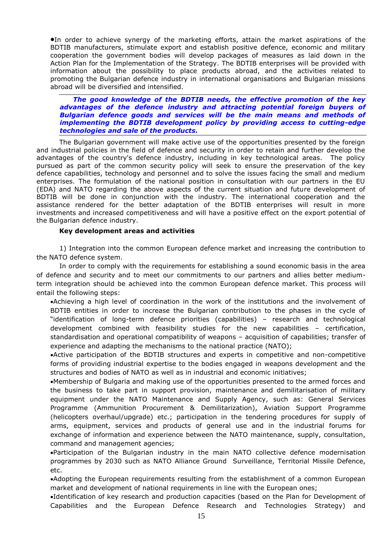•In order to achieve synergy of the marketing efforts, attain the market aspirations of the BDTIB manufacturers, stimulate export and establish positive defence, economic and military cooperation the government bodies will develop packages of measures as laid down in the Action Plan for the Implementation of the Strategy. The BDTIB enterprises will be provided with information about the possibility to place products abroad, and the activities related to promoting the Bulgarian defence industry in international organisations and Bulgarian missions abroad will be diversified and intensified.

*The good knowledge of the BDTIB needs, the effective promotion of the key*  advantages of the defence industry and attracting potential foreign buyers of *Bulgarian defence goods and services will be the main means and methods of implementing the BDTIB development policy by providing access to cutting-edge technologies and sale of the products.* 

The Bulgarian government will make active use of the opportunities presented by the foreign and industrial policies in the field of defence and security in order to retain and further develop the advantages of the country's defence industry, including in key technological areas. The policy pursued as part of the common security policy will seek to ensure the preservation of the key defence capabilities, technology and personnel and to solve the issues facing the small and medium enterprises. The formulation of the national position in consultation with our partners in the EU (EDA) and NATO regarding the above aspects of the current situation and future development of BDTIB will be done in conjunction with the industry. The international cooperation and the assistance rendered for the better adaptation of the BDTIB enterprises will result in more investments and increased competitiveness and will have a positive effect on the export potential of the Bulgarian defence industry.

### **Key development areas and activities**

1) Integration into the common European defence market and increasing the contribution to the NATO defence system.

In order to comply with the requirements for establishing a sound economic basis in the area of defence and security and to meet our commitments to our partners and allies better mediumterm integration should be achieved into the common European defence market. This process will entail the following steps:

•Achieving a high level of coordination in the work of the institutions and the involvement of BDTIB entities in order to increase the Bulgarian contribution to the phases in the cycle of "identification of long-term defence priorities (capabilities) – research and technological development combined with feasibility studies for the new capabilities – certification, standardisation and operational compatibility of weapons – acquisition of capabilities; transfer of experience and adapting the mechanisms to the national practice (NATO);

•Active participation of the BDTIB structures and experts in competitive and non-competitive forms of providing industrial expertise to the bodies engaged in weapons development and the structures and bodies of NATO as well as in industrial and economic initiatives;

•Membership of Bulgaria and making use of the opportunities presented to the armed forces and the business to take part in support provision, maintenance and demilitarisation of military equipment under the NATO Maintenance and Supply Agency, such as: General Services Programme (Ammunition Procurement & Demilitarization), Aviation Support Programme (helicopters overhaul/upgrade) etc.; participation in the tendering procedures for supply of arms, equipment, services and products of general use and in the industrial forums for exchange of information and experience between the NATO maintenance, supply, consultation, command and management agencies;

•Participation of the Bulgarian industry in the main NATO collective defence modernisation programmes by 2030 such as NATO Alliance Ground Surveillance, Territorial Missile Defence, etc.

•Adopting the European requirements resulting from the establishment of a common European market and development of national requirements in line with the European ones;

•Identification of key research and production capacities (based on the Plan for Development of Capabilities and the European Defence Research and Technologies Strategy) and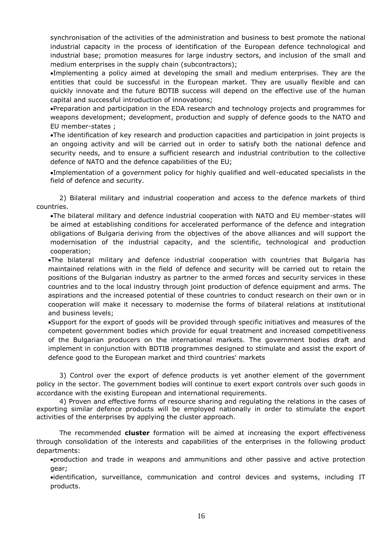synchronisation of the activities of the administration and business to best promote the national industrial capacity in the process of identification of the European defence technological and industrial base; promotion measures for large industry sectors, and inclusion of the small and medium enterprises in the supply chain (subcontractors);

•Implementing a policy aimed at developing the small and medium enterprises. They are the entities that could be successful in the European market. They are usually flexible and can quickly innovate and the future BDTIB success will depend on the effective use of the human capital and successful introduction of innovations;

•Preparation and participation in the EDA research and technology projects and programmes for weapons development; development, production and supply of defence goods to the NATO and EU member-states ;

•The identification of key research and production capacities and participation in joint projects is an ongoing activity and will be carried out in order to satisfy both the national defence and security needs, and to ensure a sufficient research and industrial contribution to the collective defence of NATO and the defence capabilities of the EU;

•Implementation of a government policy for highly qualified and well-educated specialists in the field of defence and security.

2) Bilateral military and industrial cooperation and access to the defence markets of third countries.

•The bilateral military and defence industrial cooperation with NATO and EU member-states will be aimed at establishing conditions for accelerated performance of the defence and integration obligations of Bulgaria deriving from the objectives of the above alliances and will support the modernisation of the industrial capacity, and the scientific, technological and production cooperation;

•The bilateral military and defence industrial cooperation with countries that Bulgaria has maintained relations with in the field of defence and security will be carried out to retain the positions of the Bulgarian industry as partner to the armed forces and security services in these countries and to the local industry through joint production of defence equipment and arms. The aspirations and the increased potential of these countries to conduct research on their own or in cooperation will make it necessary to modernise the forms of bilateral relations at institutional and business levels;

•Support for the export of goods will be provided through specific initiatives and measures of the competent government bodies which provide for equal treatment and increased competitiveness of the Bulgarian producers on the international markets. The government bodies draft and implement in conjunction with BDTIB programmes designed to stimulate and assist the export of defence good to the European market and third countries' markets

3) Control over the export of defence products is yet another element of the government policy in the sector. The government bodies will continue to exert export controls over such goods in accordance with the existing European and international requirements.

4) Proven and effective forms of resource sharing and regulating the relations in the cases of exporting similar defence products will be employed nationally in order to stimulate the export activities of the enterprises by applying the cluster approach.

The recommended **cluster** formation will be aimed at increasing the export effectiveness through consolidation of the interests and capabilities of the enterprises in the following product departments:

•production and trade in weapons and ammunitions and other passive and active protection gear;

•identification, surveillance, communication and control devices and systems, including IT products.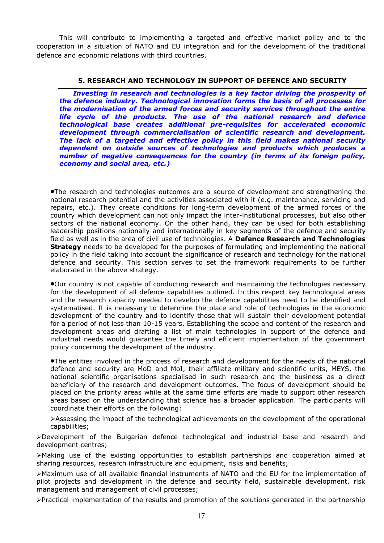This will contribute to implementing a targeted and effective market policy and to the cooperation in a situation of NATO and EU integration and for the development of the traditional defence and economic relations with third countries.

### **5. RESEARCH AND TECHNOLOGY IN SUPPORT OF DEFENCE AND SECURITY**

*Investing in research and technologies is a key factor driving the prosperity of the defence industry. Technological innovation forms the basis of all processes for the modernisation of the armed forces and security services throughout the entire life cycle of the products. The use of the national research and defence technological base creates additional pre-requisites for accelerated economic development through commercialisation of scientific research and development. The lack of a targeted and effective policy in this field makes national security dependent on outside sources of technologies and products which produces a number of negative consequences for the country (in terms of its foreign policy, economy and social area, etc.)* 

•The research and technologies outcomes are a source of development and strengthening the national research potential and the activities associated with it (e.g. maintenance, servicing and repairs, etc.). They create conditions for long-term development of the armed forces of the country which development can not only impact the inter-institutional processes, but also other sectors of the national economy. On the other hand, they can be used for both establishing leadership positions nationally and internationally in key segments of the defence and security field as well as in the area of civil use of technologies. A **Defence Research and Technologies Strategy** needs to be developed for the purposes of formulating and implementing the national policy in the field taking into account the significance of research and technology for the national defence and security. This section serves to set the framework requirements to be further elaborated in the above strategy.

•Our country is not capable of conducting research and maintaining the technologies necessary for the development of all defence capabilities outlined. In this respect key technological areas and the research capacity needed to develop the defence capabilities need to be identified and systematised. It is necessary to determine the place and role of technologies in the economic development of the country and to identify those that will sustain their development potential for a period of not less than 10-15 years. Establishing the scope and content of the research and development areas and drafting a list of main technologies in support of the defence and industrial needs would guarantee the timely and efficient implementation of the government policy concerning the development of the industry.

•The entities involved in the process of research and development for the needs of the national defence and security are MoD and MoI, their affiliate military and scientific units, MEYS, the national scientific organisations specialised in such research and the business as a direct beneficiary of the research and development outcomes. The focus of development should be placed on the priority areas while at the same time efforts are made to support other research areas based on the understanding that science has a broader application. The participants will coordinate their efforts on the following:

➢Assessing the impact of the technological achievements on the development of the operational capabilities;

➢Development of the Bulgarian defence technological and industrial base and research and development centres;

➢Making use of the existing opportunities to establish partnerships and cooperation aimed at sharing resources, research infrastructure and equipment, risks and benefits;

➢Maximum use of all available financial instruments of NATO and the EU for the implementation of pilot projects and development in the defence and security field, sustainable development, risk management and management of civil processes;

➢Practical implementation of the results and promotion of the solutions generated in the partnership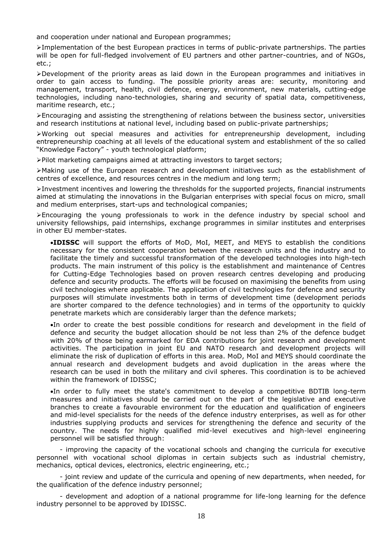and cooperation under national and European programmes;

➢Implementation of the best European practices in terms of public-private partnerships. The parties will be open for full-fledged involvement of EU partners and other partner-countries, and of NGOs, etc.;

➢Development of the priority areas as laid down in the European programmes and initiatives in order to gain access to funding. The possible priority areas are: security, monitoring and management, transport, health, civil defence, energy, environment, new materials, cutting-edge technologies, including nano-technologies, sharing and security of spatial data, competitiveness, maritime research, etc.;

➢Encouraging and assisting the strengthening of relations between the business sector, universities and research institutions at national level, including based on public-private partnerships;

➢Working out special measures and activities for entrepreneurship development, including entrepreneurship coaching at all levels of the educational system and establishment of the so called "Knowledge Factory" - youth technological platform;

➢Pilot marketing campaigns aimed at attracting investors to target sectors;

➢Making use of the European research and development initiatives such as the establishment of centres of excellence, and resources centres in the medium and long term;

➢Investment incentives and lowering the thresholds for the supported projects, financial instruments aimed at stimulating the innovations in the Bulgarian enterprises with special focus on micro, small and medium enterprises, start-ups and technological companies;

➢Encouraging the young professionals to work in the defence industry by special school and university fellowships, paid internships, exchange programmes in similar institutes and enterprises in other EU member-states.

•**IDISSC** will support the efforts of MoD, MoI, MEET, and MEYS to establish the conditions necessary for the consistent cooperation between the research units and the industry and to facilitate the timely and successful transformation of the developed technologies into high-tech products. The main instrument of this policy is the establishment and maintenance of Centres for Cutting-Edge Technologies based on proven research centres developing and producing defence and security products. The efforts will be focused on maximising the benefits from using civil technologies where applicable. The application of civil technologies for defence and security purposes will stimulate investments both in terms of development time (development periods are shorter compared to the defence technologies) and in terms of the opportunity to quickly penetrate markets which are considerably larger than the defence markets;

•In order to create the best possible conditions for research and development in the field of defence and security the budget allocation should be not less than 2% of the defence budget with 20% of those being earmarked for EDA contributions for joint research and development activities. The participation in joint EU and NATO research and development projects will eliminate the risk of duplication of efforts in this area. MoD, MoI and MEYS should coordinate the annual research and development budgets and avoid duplication in the areas where the research can be used in both the military and civil spheres. This coordination is to be achieved within the framework of IDISSC;

•In order to fully meet the state's commitment to develop a competitive BDTIB long-term measures and initiatives should be carried out on the part of the legislative and executive branches to create a favourable environment for the education and qualification of engineers and mid-level specialists for the needs of the defence industry enterprises, as well as for other industries supplying products and services for strengthening the defence and security of the country. The needs for highly qualified mid-level executives and high-level engineering personnel will be satisfied through:

- improving the capacity of the vocational schools and changing the curricula for executive personnel with vocational school diplomas in certain subjects such as industrial chemistry, mechanics, optical devices, electronics, electric engineering, etc.;

- joint review and update of the curricula and opening of new departments, when needed, for the qualification of the defence industry personnel;

- development and adoption of a national programme for life-long learning for the defence industry personnel to be approved by IDISSC.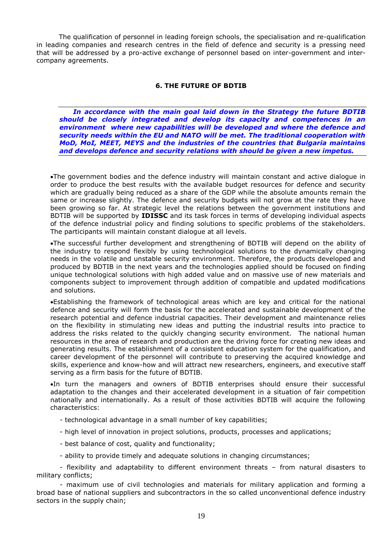The qualification of personnel in leading foreign schools, the specialisation and re-qualification in leading companies and research centres in the field of defence and security is a pressing need that will be addressed by a pro-active exchange of personnel based on inter-government and intercompany agreements.

# **6. THE FUTURE OF BDTIB**

*In accordance with the main goal laid down in the Strategy the future BDTIB should be closely integrated and develop its capacity and competences in an environment where new capabilities will be developed and where the defence and security needs within the EU and NATO will be met. The traditional cooperation with MoD, MoI, MEET, MEYS and the industries of the countries that Bulgaria maintains and develops defence and security relations with should be given a new impetus.* 

•The government bodies and the defence industry will maintain constant and active dialogue in order to produce the best results with the available budget resources for defence and security which are gradually being reduced as a share of the GDP while the absolute amounts remain the same or increase slightly. The defence and security budgets will not grow at the rate they have been growing so far. At strategic level the relations between the government institutions and BDTIB will be supported by **IDISSC** and its task forces in terms of developing individual aspects of the defence industrial policy and finding solutions to specific problems of the stakeholders. The participants will maintain constant dialogue at all levels.

•The successful further development and strengthening of BDTIB will depend on the ability of the industry to respond flexibly by using technological solutions to the dynamically changing needs in the volatile and unstable security environment. Therefore, the products developed and produced by BDTIB in the next years and the technologies applied should be focused on finding unique technological solutions with high added value and on massive use of new materials and components subject to improvement through addition of compatible and updated modifications and solutions.

•Establishing the framework of technological areas which are key and critical for the national defence and security will form the basis for the accelerated and sustainable development of the research potential and defence industrial capacities. Their development and maintenance relies on the flexibility in stimulating new ideas and putting the industrial results into practice to address the risks related to the quickly changing security environment. The national human resources in the area of research and production are the driving force for creating new ideas and generating results. The establishment of a consistent education system for the qualification, and career development of the personnel will contribute to preserving the acquired knowledge and skills, experience and know-how and will attract new researchers, engineers, and executive staff serving as a firm basis for the future of BDTIB.

•In turn the managers and owners of BDTIB enterprises should ensure their successful adaptation to the changes and their accelerated development in a situation of fair competition nationally and internationally. As a result of those activities BDTIB will acquire the following characteristics:

- technological advantage in a small number of key capabilities;
- high level of innovation in project solutions, products, processes and applications;
- best balance of cost, quality and functionality;
- ability to provide timely and adequate solutions in changing circumstances;

- flexibility and adaptability to different environment threats – from natural disasters to military conflicts;

- maximum use of civil technologies and materials for military application and forming a broad base of national suppliers and subcontractors in the so called unconventional defence industry sectors in the supply chain;